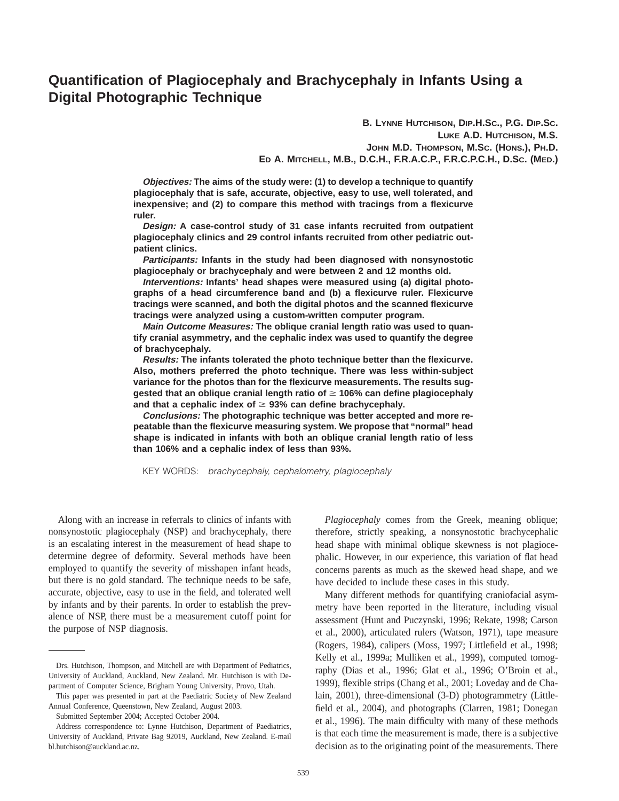# **Quantification of Plagiocephaly and Brachycephaly in Infants Using a Digital Photographic Technique**

**B. LYNNE HUTCHISON, DIP.H.SC., P.G. DIP.SC. LUKE A.D. HUTCHISON, M.S. JOHN M.D. THOMPSON, M.SC. (HONS.), PH.D. ED A. MITCHELL, M.B., D.C.H., F.R.A.C.P., F.R.C.P.C.H., D.SC. (MED.)**

**Objectives: The aims of the study were: (1) to develop a technique to quantify plagiocephaly that is safe, accurate, objective, easy to use, well tolerated, and inexpensive; and (2) to compare this method with tracings from a flexicurve ruler.**

**Design: A case-control study of 31 case infants recruited from outpatient plagiocephaly clinics and 29 control infants recruited from other pediatric outpatient clinics.**

**Participants: Infants in the study had been diagnosed with nonsynostotic plagiocephaly or brachycephaly and were between 2 and 12 months old.**

**Interventions: Infants' head shapes were measured using (a) digital photographs of a head circumference band and (b) a flexicurve ruler. Flexicurve tracings were scanned, and both the digital photos and the scanned flexicurve tracings were analyzed using a custom-written computer program.**

**Main Outcome Measures: The oblique cranial length ratio was used to quantify cranial asymmetry, and the cephalic index was used to quantify the degree of brachycephaly.**

**Results: The infants tolerated the photo technique better than the flexicurve. Also, mothers preferred the photo technique. There was less within-subject variance for the photos than for the flexicurve measurements. The results suggested that an oblique cranial length ratio of** \$ **106% can define plagiocephaly** and that a cephalic index of  $\geq$  93% can define brachycephaly.

**Conclusions: The photographic technique was better accepted and more repeatable than the flexicurve measuring system. We propose that ''normal'' head shape is indicated in infants with both an oblique cranial length ratio of less than 106% and a cephalic index of less than 93%.**

KEY WORDS: brachycephaly, cephalometry, plagiocephaly

Along with an increase in referrals to clinics of infants with nonsynostotic plagiocephaly (NSP) and brachycephaly, there is an escalating interest in the measurement of head shape to determine degree of deformity. Several methods have been employed to quantify the severity of misshapen infant heads, but there is no gold standard. The technique needs to be safe, accurate, objective, easy to use in the field, and tolerated well by infants and by their parents. In order to establish the prevalence of NSP, there must be a measurement cutoff point for the purpose of NSP diagnosis.

*Plagiocephaly* comes from the Greek, meaning oblique; therefore, strictly speaking, a nonsynostotic brachycephalic head shape with minimal oblique skewness is not plagiocephalic. However, in our experience, this variation of flat head concerns parents as much as the skewed head shape, and we have decided to include these cases in this study.

Many different methods for quantifying craniofacial asymmetry have been reported in the literature, including visual assessment (Hunt and Puczynski, 1996; Rekate, 1998; Carson et al., 2000), articulated rulers (Watson, 1971), tape measure (Rogers, 1984), calipers (Moss, 1997; Littlefield et al., 1998; Kelly et al., 1999a; Mulliken et al., 1999), computed tomography (Dias et al., 1996; Glat et al., 1996; O'Broin et al., 1999), flexible strips (Chang et al., 2001; Loveday and de Chalain, 2001), three-dimensional (3-D) photogrammetry (Littlefield et al., 2004), and photographs (Clarren, 1981; Donegan et al., 1996). The main difficulty with many of these methods is that each time the measurement is made, there is a subjective decision as to the originating point of the measurements. There

Drs. Hutchison, Thompson, and Mitchell are with Department of Pediatrics, University of Auckland, Auckland, New Zealand. Mr. Hutchison is with Department of Computer Science, Brigham Young University, Provo, Utah.

This paper was presented in part at the Paediatric Society of New Zealand Annual Conference, Queenstown, New Zealand, August 2003.

Submitted September 2004; Accepted October 2004.

Address correspondence to: Lynne Hutchison, Department of Paediatrics, University of Auckland, Private Bag 92019, Auckland, New Zealand. E-mail bl.hutchison@auckland.ac.nz.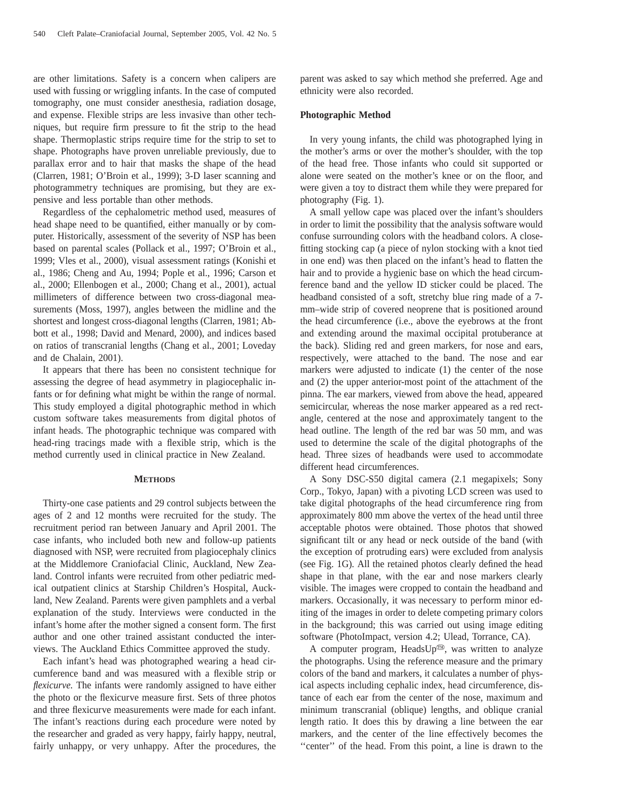are other limitations. Safety is a concern when calipers are used with fussing or wriggling infants. In the case of computed tomography, one must consider anesthesia, radiation dosage, and expense. Flexible strips are less invasive than other techniques, but require firm pressure to fit the strip to the head shape. Thermoplastic strips require time for the strip to set to shape. Photographs have proven unreliable previously, due to parallax error and to hair that masks the shape of the head (Clarren, 1981; O'Broin et al., 1999); 3-D laser scanning and photogrammetry techniques are promising, but they are expensive and less portable than other methods.

Regardless of the cephalometric method used, measures of head shape need to be quantified, either manually or by computer. Historically, assessment of the severity of NSP has been based on parental scales (Pollack et al., 1997; O'Broin et al., 1999; Vles et al., 2000), visual assessment ratings (Konishi et al., 1986; Cheng and Au, 1994; Pople et al., 1996; Carson et al., 2000; Ellenbogen et al., 2000; Chang et al., 2001), actual millimeters of difference between two cross-diagonal measurements (Moss, 1997), angles between the midline and the shortest and longest cross-diagonal lengths (Clarren, 1981; Abbott et al., 1998; David and Menard, 2000), and indices based on ratios of transcranial lengths (Chang et al., 2001; Loveday and de Chalain, 2001).

It appears that there has been no consistent technique for assessing the degree of head asymmetry in plagiocephalic infants or for defining what might be within the range of normal. This study employed a digital photographic method in which custom software takes measurements from digital photos of infant heads. The photographic technique was compared with head-ring tracings made with a flexible strip, which is the method currently used in clinical practice in New Zealand.

## **METHODS**

Thirty-one case patients and 29 control subjects between the ages of 2 and 12 months were recruited for the study. The recruitment period ran between January and April 2001. The case infants, who included both new and follow-up patients diagnosed with NSP, were recruited from plagiocephaly clinics at the Middlemore Craniofacial Clinic, Auckland, New Zealand. Control infants were recruited from other pediatric medical outpatient clinics at Starship Children's Hospital, Auckland, New Zealand. Parents were given pamphlets and a verbal explanation of the study. Interviews were conducted in the infant's home after the mother signed a consent form. The first author and one other trained assistant conducted the interviews. The Auckland Ethics Committee approved the study.

Each infant's head was photographed wearing a head circumference band and was measured with a flexible strip or *flexicurve.* The infants were randomly assigned to have either the photo or the flexicurve measure first. Sets of three photos and three flexicurve measurements were made for each infant. The infant's reactions during each procedure were noted by the researcher and graded as very happy, fairly happy, neutral, fairly unhappy, or very unhappy. After the procedures, the

parent was asked to say which method she preferred. Age and ethnicity were also recorded.

## **Photographic Method**

In very young infants, the child was photographed lying in the mother's arms or over the mother's shoulder, with the top of the head free. Those infants who could sit supported or alone were seated on the mother's knee or on the floor, and were given a toy to distract them while they were prepared for photography (Fig. 1).

A small yellow cape was placed over the infant's shoulders in order to limit the possibility that the analysis software would confuse surrounding colors with the headband colors. A closefitting stocking cap (a piece of nylon stocking with a knot tied in one end) was then placed on the infant's head to flatten the hair and to provide a hygienic base on which the head circumference band and the yellow ID sticker could be placed. The headband consisted of a soft, stretchy blue ring made of a 7 mm–wide strip of covered neoprene that is positioned around the head circumference (i.e., above the eyebrows at the front and extending around the maximal occipital protuberance at the back). Sliding red and green markers, for nose and ears, respectively, were attached to the band. The nose and ear markers were adjusted to indicate (1) the center of the nose and (2) the upper anterior-most point of the attachment of the pinna. The ear markers, viewed from above the head, appeared semicircular, whereas the nose marker appeared as a red rectangle, centered at the nose and approximately tangent to the head outline. The length of the red bar was 50 mm, and was used to determine the scale of the digital photographs of the head. Three sizes of headbands were used to accommodate different head circumferences.

A Sony DSC-S50 digital camera (2.1 megapixels; Sony Corp., Tokyo, Japan) with a pivoting LCD screen was used to take digital photographs of the head circumference ring from approximately 800 mm above the vertex of the head until three acceptable photos were obtained. Those photos that showed significant tilt or any head or neck outside of the band (with the exception of protruding ears) were excluded from analysis (see Fig. 1G). All the retained photos clearly defined the head shape in that plane, with the ear and nose markers clearly visible. The images were cropped to contain the headband and markers. Occasionally, it was necessary to perform minor editing of the images in order to delete competing primary colors in the background; this was carried out using image editing software (PhotoImpact, version 4.2; Ulead, Torrance, CA).

A computer program, HeadsUp®, was written to analyze the photographs. Using the reference measure and the primary colors of the band and markers, it calculates a number of physical aspects including cephalic index, head circumference, distance of each ear from the center of the nose, maximum and minimum transcranial (oblique) lengths, and oblique cranial length ratio. It does this by drawing a line between the ear markers, and the center of the line effectively becomes the "center" of the head. From this point, a line is drawn to the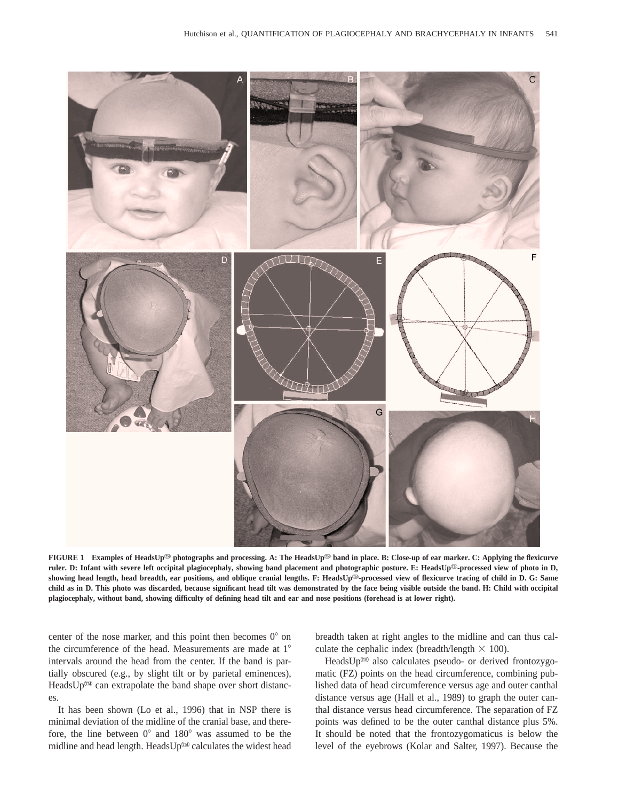

**FIGURE 1** Examples of HeadsUp<sup>®</sup> photographs and processing. A: The HeadsUp<sup>®</sup> band in place. B: Close-up of ear marker. C: Applying the flexicurve ruler. D: Infant with severe left occipital plagiocephaly, showing band placement and photographic posture. E: HeadsUp<sup>®</sup>-processed view of photo in D, showing head length, head breadth, ear positions, and oblique cranial lengths. F: HeadsUp<sup>®</sup>-processed view of flexicurve tracing of child in D. G: Same **child as in D. This photo was discarded, because significant head tilt was demonstrated by the face being visible outside the band. H: Child with occipital plagiocephaly, without band, showing difficulty of defining head tilt and ear and nose positions (forehead is at lower right).**

center of the nose marker, and this point then becomes  $0^{\circ}$  on the circumference of the head. Measurements are made at  $1^\circ$ intervals around the head from the center. If the band is partially obscured (e.g., by slight tilt or by parietal eminences), HeadsUp $\mathbb{D}$  can extrapolate the band shape over short distances.

It has been shown (Lo et al., 1996) that in NSP there is minimal deviation of the midline of the cranial base, and therefore, the line between  $0^{\circ}$  and  $180^{\circ}$  was assumed to be the midline and head length. Heads  $Up^{\textcircled{m}}$  calculates the widest head

breadth taken at right angles to the midline and can thus calculate the cephalic index (breadth/length  $\times$  100).

HeadsUp<sup>®</sup> also calculates pseudo- or derived frontozygomatic (FZ) points on the head circumference, combining published data of head circumference versus age and outer canthal distance versus age (Hall et al., 1989) to graph the outer canthal distance versus head circumference. The separation of FZ points was defined to be the outer canthal distance plus 5%. It should be noted that the frontozygomaticus is below the level of the eyebrows (Kolar and Salter, 1997). Because the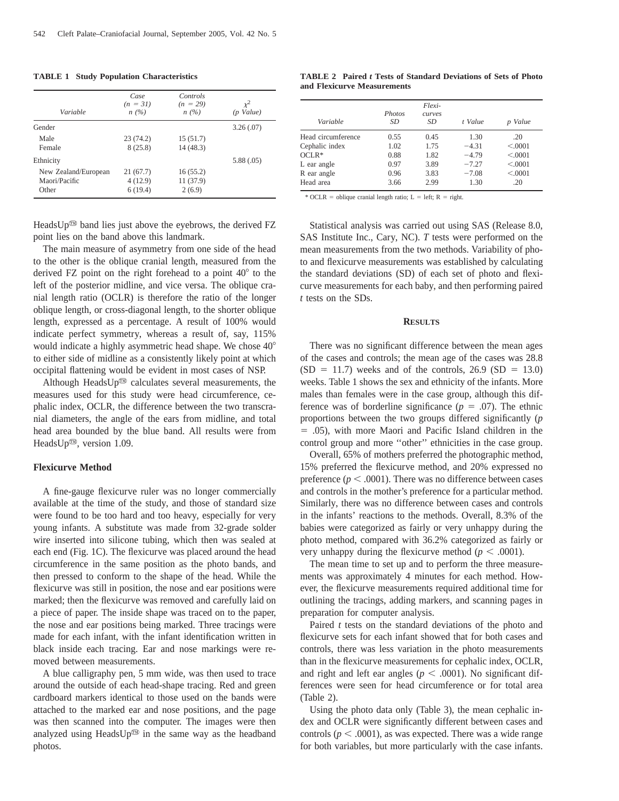| Variable             | Case<br>$(n = 31)$<br>n(%) | Controls<br>$(n = 29)$<br>n(%) | $\chi^2$<br>(p Value) |
|----------------------|----------------------------|--------------------------------|-----------------------|
| Gender               |                            |                                | 3.26(.07)             |
| Male                 | 23(74.2)                   | 15(51.7)                       |                       |
| Female               | 8(25.8)                    | 14(48.3)                       |                       |
| Ethnicity            |                            |                                | 5.88(.05)             |
| New Zealand/European | 21(67.7)                   | 16(55.2)                       |                       |
| Maori/Pacific        | 4(12.9)                    | 11(37.9)                       |                       |
| Other                | 6(19.4)                    | 2(6.9)                         |                       |

HeadsUp® band lies just above the eyebrows, the derived FZ point lies on the band above this landmark.

The main measure of asymmetry from one side of the head to the other is the oblique cranial length, measured from the derived FZ point on the right forehead to a point  $40^{\circ}$  to the left of the posterior midline, and vice versa. The oblique cranial length ratio (OCLR) is therefore the ratio of the longer oblique length, or cross-diagonal length, to the shorter oblique length, expressed as a percentage. A result of 100% would indicate perfect symmetry, whereas a result of, say, 115% would indicate a highly asymmetric head shape. We chose  $40^{\circ}$ to either side of midline as a consistently likely point at which occipital flattening would be evident in most cases of NSP.

Although HeadsUp® calculates several measurements, the measures used for this study were head circumference, cephalic index, OCLR, the difference between the two transcranial diameters, the angle of the ears from midline, and total head area bounded by the blue band. All results were from HeadsUp<sup> $\mathfrak{w}$ </sup>, version 1.09.

## **Flexicurve Method**

A fine-gauge flexicurve ruler was no longer commercially available at the time of the study, and those of standard size were found to be too hard and too heavy, especially for very young infants. A substitute was made from 32-grade solder wire inserted into silicone tubing, which then was sealed at each end (Fig. 1C). The flexicurve was placed around the head circumference in the same position as the photo bands, and then pressed to conform to the shape of the head. While the flexicurve was still in position, the nose and ear positions were marked; then the flexicurve was removed and carefully laid on a piece of paper. The inside shape was traced on to the paper, the nose and ear positions being marked. Three tracings were made for each infant, with the infant identification written in black inside each tracing. Ear and nose markings were removed between measurements.

A blue calligraphy pen, 5 mm wide, was then used to trace around the outside of each head-shape tracing. Red and green cardboard markers identical to those used on the bands were attached to the marked ear and nose positions, and the page was then scanned into the computer. The images were then analyzed using HeadsUp® in the same way as the headband photos.

|  |                             |  |  | <b>TABLE 2</b> Paired t Tests of Standard Deviations of Sets of Photo |  |  |  |
|--|-----------------------------|--|--|-----------------------------------------------------------------------|--|--|--|
|  | and Flexicurve Measurements |  |  |                                                                       |  |  |  |

| Variable           | <b>Photos</b><br>SD | Flexi-<br><b>Curves</b><br>SD | t Value | Value<br>$\boldsymbol{D}$ |
|--------------------|---------------------|-------------------------------|---------|---------------------------|
| Head circumference | 0.55                | 0.45                          | 1.30    | .20                       |
| Cephalic index     | 1.02                | 1.75                          | $-4.31$ | < .0001                   |
| $OCI.R*$           | 0.88                | 1.82                          | $-4.79$ | < .0001                   |
| L ear angle        | 0.97                | 3.89                          | $-7.27$ | < .0001                   |
| R ear angle        | 0.96                | 3.83                          | $-7.08$ | < .0001                   |
| Head area          | 3.66                | 2.99                          | 1.30    | .20                       |

\* OCLR = oblique cranial length ratio; L = left; R = right.

Statistical analysis was carried out using SAS (Release 8.0, SAS Institute Inc., Cary, NC). *T* tests were performed on the mean measurements from the two methods. Variability of photo and flexicurve measurements was established by calculating the standard deviations (SD) of each set of photo and flexicurve measurements for each baby, and then performing paired *t* tests on the SDs.

### **RESULTS**

There was no significant difference between the mean ages of the cases and controls; the mean age of the cases was 28.8  $(SD = 11.7)$  weeks and of the controls, 26.9  $(SD = 13.0)$ weeks. Table 1 shows the sex and ethnicity of the infants. More males than females were in the case group, although this difference was of borderline significance ( $p = .07$ ). The ethnic proportions between the two groups differed significantly (*p* 5 .05), with more Maori and Pacific Island children in the control group and more ''other'' ethnicities in the case group.

Overall, 65% of mothers preferred the photographic method, 15% preferred the flexicurve method, and 20% expressed no preference ( $p < .0001$ ). There was no difference between cases and controls in the mother's preference for a particular method. Similarly, there was no difference between cases and controls in the infants' reactions to the methods. Overall, 8.3% of the babies were categorized as fairly or very unhappy during the photo method, compared with 36.2% categorized as fairly or very unhappy during the flexicurve method ( $p < .0001$ ).

The mean time to set up and to perform the three measurements was approximately 4 minutes for each method. However, the flexicurve measurements required additional time for outlining the tracings, adding markers, and scanning pages in preparation for computer analysis.

Paired *t* tests on the standard deviations of the photo and flexicurve sets for each infant showed that for both cases and controls, there was less variation in the photo measurements than in the flexicurve measurements for cephalic index, OCLR, and right and left ear angles ( $p < .0001$ ). No significant differences were seen for head circumference or for total area (Table 2).

Using the photo data only (Table 3), the mean cephalic index and OCLR were significantly different between cases and controls ( $p < .0001$ ), as was expected. There was a wide range for both variables, but more particularly with the case infants.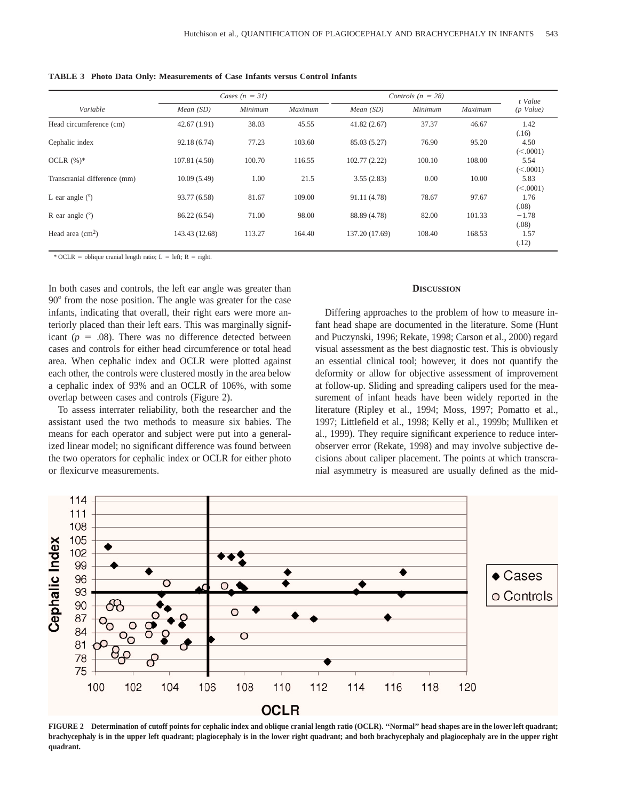|  |  |  | <b>TABLE 3</b> Photo Data Only: Measurements of Case Infants versus Control Infants |  |  |  |  |  |
|--|--|--|-------------------------------------------------------------------------------------|--|--|--|--|--|
|--|--|--|-------------------------------------------------------------------------------------|--|--|--|--|--|

|                              | Cases $(n = 31)$ |         |         | Controls $(n = 28)$ | t Value |         |                  |
|------------------------------|------------------|---------|---------|---------------------|---------|---------|------------------|
| Variable                     | Mean(SD)         | Minimum | Maximum | Mean(SD)            | Minimum | Maximum | $(p$ Value)      |
| Head circumference (cm)      | 42.67(1.91)      | 38.03   | 45.55   | 41.82(2.67)         | 37.37   | 46.67   | 1.42<br>(.16)    |
| Cephalic index               | 92.18(6.74)      | 77.23   | 103.60  | 85.03 (5.27)        | 76.90   | 95.20   | 4.50<br>(<.0001) |
| OCLR $(\%)^*$                | 107.81(4.50)     | 100.70  | 116.55  | 102.77(2.22)        | 100.10  | 108.00  | 5.54<br>(<.0001) |
| Transcranial difference (mm) | 10.09(5.49)      | 1.00    | 21.5    | 3.55(2.83)          | 0.00    | 10.00   | 5.83<br>(<.0001) |
| L ear angle $(°)$            | 93.77 (6.58)     | 81.67   | 109.00  | 91.11 (4.78)        | 78.67   | 97.67   | 1.76<br>(.08)    |
| R ear angle $(°)$            | 86.22 (6.54)     | 71.00   | 98.00   | 88.89 (4.78)        | 82.00   | 101.33  | $-1.78$<br>(.08) |
| Head area $\text{cm}^2$ )    | 143.43 (12.68)   | 113.27  | 164.40  | 137.20 (17.69)      | 108.40  | 168.53  | 1.57<br>(.12)    |

\* OCLR = oblique cranial length ratio; L = left; R = right.

In both cases and controls, the left ear angle was greater than 90<sup>°</sup> from the nose position. The angle was greater for the case infants, indicating that overall, their right ears were more anteriorly placed than their left ears. This was marginally significant  $(p = .08)$ . There was no difference detected between cases and controls for either head circumference or total head area. When cephalic index and OCLR were plotted against each other, the controls were clustered mostly in the area below a cephalic index of 93% and an OCLR of 106%, with some overlap between cases and controls (Figure 2).

To assess interrater reliability, both the researcher and the assistant used the two methods to measure six babies. The means for each operator and subject were put into a generalized linear model; no significant difference was found between the two operators for cephalic index or OCLR for either photo or flexicurve measurements.

## **DISCUSSION**

Differing approaches to the problem of how to measure infant head shape are documented in the literature. Some (Hunt and Puczynski, 1996; Rekate, 1998; Carson et al., 2000) regard visual assessment as the best diagnostic test. This is obviously an essential clinical tool; however, it does not quantify the deformity or allow for objective assessment of improvement at follow-up. Sliding and spreading calipers used for the measurement of infant heads have been widely reported in the literature (Ripley et al., 1994; Moss, 1997; Pomatto et al., 1997; Littlefield et al., 1998; Kelly et al., 1999b; Mulliken et al., 1999). They require significant experience to reduce interobserver error (Rekate, 1998) and may involve subjective decisions about caliper placement. The points at which transcranial asymmetry is measured are usually defined as the mid-



**FIGURE 2 Determination of cutoff points for cephalic index and oblique cranial length ratio (OCLR). ''Normal'' head shapes are in the lower left quadrant; brachycephaly is in the upper left quadrant; plagiocephaly is in the lower right quadrant; and both brachycephaly and plagiocephaly are in the upper right quadrant.**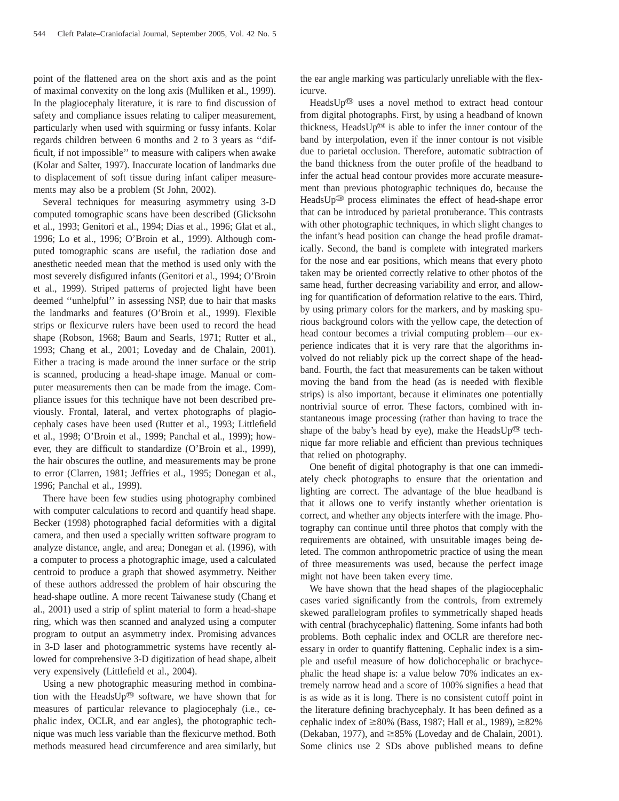point of the flattened area on the short axis and as the point of maximal convexity on the long axis (Mulliken et al., 1999). In the plagiocephaly literature, it is rare to find discussion of safety and compliance issues relating to caliper measurement, particularly when used with squirming or fussy infants. Kolar regards children between 6 months and 2 to 3 years as ''difficult, if not impossible'' to measure with calipers when awake (Kolar and Salter, 1997). Inaccurate location of landmarks due to displacement of soft tissue during infant caliper measurements may also be a problem (St John, 2002).

Several techniques for measuring asymmetry using 3-D computed tomographic scans have been described (Glicksohn et al., 1993; Genitori et al., 1994; Dias et al., 1996; Glat et al., 1996; Lo et al., 1996; O'Broin et al., 1999). Although computed tomographic scans are useful, the radiation dose and anesthetic needed mean that the method is used only with the most severely disfigured infants (Genitori et al., 1994; O'Broin et al., 1999). Striped patterns of projected light have been deemed ''unhelpful'' in assessing NSP, due to hair that masks the landmarks and features (O'Broin et al., 1999). Flexible strips or flexicurve rulers have been used to record the head shape (Robson, 1968; Baum and Searls, 1971; Rutter et al., 1993; Chang et al., 2001; Loveday and de Chalain, 2001). Either a tracing is made around the inner surface or the strip is scanned, producing a head-shape image. Manual or computer measurements then can be made from the image. Compliance issues for this technique have not been described previously. Frontal, lateral, and vertex photographs of plagiocephaly cases have been used (Rutter et al., 1993; Littlefield et al., 1998; O'Broin et al., 1999; Panchal et al., 1999); however, they are difficult to standardize (O'Broin et al., 1999), the hair obscures the outline, and measurements may be prone to error (Clarren, 1981; Jeffries et al., 1995; Donegan et al., 1996; Panchal et al., 1999).

There have been few studies using photography combined with computer calculations to record and quantify head shape. Becker (1998) photographed facial deformities with a digital camera, and then used a specially written software program to analyze distance, angle, and area; Donegan et al. (1996), with a computer to process a photographic image, used a calculated centroid to produce a graph that showed asymmetry. Neither of these authors addressed the problem of hair obscuring the head-shape outline. A more recent Taiwanese study (Chang et al., 2001) used a strip of splint material to form a head-shape ring, which was then scanned and analyzed using a computer program to output an asymmetry index. Promising advances in 3-D laser and photogrammetric systems have recently allowed for comprehensive 3-D digitization of head shape, albeit very expensively (Littlefield et al., 2004).

Using a new photographic measuring method in combination with the HeadsUp® software, we have shown that for measures of particular relevance to plagiocephaly (i.e., cephalic index, OCLR, and ear angles), the photographic technique was much less variable than the flexicurve method. Both methods measured head circumference and area similarly, but

the ear angle marking was particularly unreliable with the flexicurve.

HeadsUp $<sup>60</sup>$  uses a novel method to extract head contour</sup> from digital photographs. First, by using a headband of known thickness, HeadsUp $\mathbb{D}$  is able to infer the inner contour of the band by interpolation, even if the inner contour is not visible due to parietal occlusion. Therefore, automatic subtraction of the band thickness from the outer profile of the headband to infer the actual head contour provides more accurate measurement than previous photographic techniques do, because the HeadsUp<sup>®</sup> process eliminates the effect of head-shape error that can be introduced by parietal protuberance. This contrasts with other photographic techniques, in which slight changes to the infant's head position can change the head profile dramatically. Second, the band is complete with integrated markers for the nose and ear positions, which means that every photo taken may be oriented correctly relative to other photos of the same head, further decreasing variability and error, and allowing for quantification of deformation relative to the ears. Third, by using primary colors for the markers, and by masking spurious background colors with the yellow cape, the detection of head contour becomes a trivial computing problem—our experience indicates that it is very rare that the algorithms involved do not reliably pick up the correct shape of the headband. Fourth, the fact that measurements can be taken without moving the band from the head (as is needed with flexible strips) is also important, because it eliminates one potentially nontrivial source of error. These factors, combined with instantaneous image processing (rather than having to trace the shape of the baby's head by eye), make the Heads $Up^{(m)}$  technique far more reliable and efficient than previous techniques that relied on photography.

One benefit of digital photography is that one can immediately check photographs to ensure that the orientation and lighting are correct. The advantage of the blue headband is that it allows one to verify instantly whether orientation is correct, and whether any objects interfere with the image. Photography can continue until three photos that comply with the requirements are obtained, with unsuitable images being deleted. The common anthropometric practice of using the mean of three measurements was used, because the perfect image might not have been taken every time.

We have shown that the head shapes of the plagiocephalic cases varied significantly from the controls, from extremely skewed parallelogram profiles to symmetrically shaped heads with central (brachycephalic) flattening. Some infants had both problems. Both cephalic index and OCLR are therefore necessary in order to quantify flattening. Cephalic index is a simple and useful measure of how dolichocephalic or brachycephalic the head shape is: a value below 70% indicates an extremely narrow head and a score of 100% signifies a head that is as wide as it is long. There is no consistent cutoff point in the literature defining brachycephaly. It has been defined as a cephalic index of  $\geq$ 80% (Bass, 1987; Hall et al., 1989),  $\geq$ 82% (Dekaban, 1977), and  $\geq$ 85% (Loveday and de Chalain, 2001). Some clinics use 2 SDs above published means to define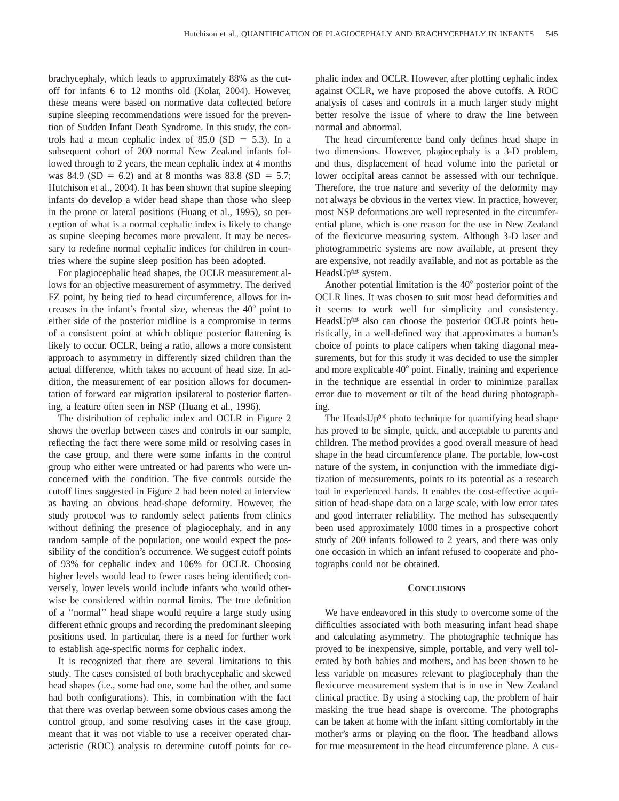brachycephaly, which leads to approximately 88% as the cutoff for infants 6 to 12 months old (Kolar, 2004). However, these means were based on normative data collected before supine sleeping recommendations were issued for the prevention of Sudden Infant Death Syndrome. In this study, the controls had a mean cephalic index of  $85.0$  (SD = 5.3). In a subsequent cohort of 200 normal New Zealand infants followed through to 2 years, the mean cephalic index at 4 months was 84.9 (SD = 6.2) and at 8 months was 83.8 (SD = 5.7; Hutchison et al., 2004). It has been shown that supine sleeping infants do develop a wider head shape than those who sleep in the prone or lateral positions (Huang et al., 1995), so perception of what is a normal cephalic index is likely to change as supine sleeping becomes more prevalent. It may be necessary to redefine normal cephalic indices for children in countries where the supine sleep position has been adopted.

For plagiocephalic head shapes, the OCLR measurement allows for an objective measurement of asymmetry. The derived FZ point, by being tied to head circumference, allows for increases in the infant's frontal size, whereas the  $40^{\circ}$  point to either side of the posterior midline is a compromise in terms of a consistent point at which oblique posterior flattening is likely to occur. OCLR, being a ratio, allows a more consistent approach to asymmetry in differently sized children than the actual difference, which takes no account of head size. In addition, the measurement of ear position allows for documentation of forward ear migration ipsilateral to posterior flattening, a feature often seen in NSP (Huang et al., 1996).

The distribution of cephalic index and OCLR in Figure 2 shows the overlap between cases and controls in our sample, reflecting the fact there were some mild or resolving cases in the case group, and there were some infants in the control group who either were untreated or had parents who were unconcerned with the condition. The five controls outside the cutoff lines suggested in Figure 2 had been noted at interview as having an obvious head-shape deformity. However, the study protocol was to randomly select patients from clinics without defining the presence of plagiocephaly, and in any random sample of the population, one would expect the possibility of the condition's occurrence. We suggest cutoff points of 93% for cephalic index and 106% for OCLR. Choosing higher levels would lead to fewer cases being identified; conversely, lower levels would include infants who would otherwise be considered within normal limits. The true definition of a ''normal'' head shape would require a large study using different ethnic groups and recording the predominant sleeping positions used. In particular, there is a need for further work to establish age-specific norms for cephalic index.

It is recognized that there are several limitations to this study. The cases consisted of both brachycephalic and skewed head shapes (i.e., some had one, some had the other, and some had both configurations). This, in combination with the fact that there was overlap between some obvious cases among the control group, and some resolving cases in the case group, meant that it was not viable to use a receiver operated characteristic (ROC) analysis to determine cutoff points for cephalic index and OCLR. However, after plotting cephalic index against OCLR, we have proposed the above cutoffs. A ROC analysis of cases and controls in a much larger study might better resolve the issue of where to draw the line between normal and abnormal.

The head circumference band only defines head shape in two dimensions. However, plagiocephaly is a 3-D problem, and thus, displacement of head volume into the parietal or lower occipital areas cannot be assessed with our technique. Therefore, the true nature and severity of the deformity may not always be obvious in the vertex view. In practice, however, most NSP deformations are well represented in the circumferential plane, which is one reason for the use in New Zealand of the flexicurve measuring system. Although 3-D laser and photogrammetric systems are now available, at present they are expensive, not readily available, and not as portable as the HeadsUp<sup>®</sup> system.

Another potential limitation is the  $40^{\circ}$  posterior point of the OCLR lines. It was chosen to suit most head deformities and it seems to work well for simplicity and consistency. HeadsUp<sup>®</sup> also can choose the posterior OCLR points heuristically, in a well-defined way that approximates a human's choice of points to place calipers when taking diagonal measurements, but for this study it was decided to use the simpler and more explicable  $40^{\circ}$  point. Finally, training and experience in the technique are essential in order to minimize parallax error due to movement or tilt of the head during photographing.

The HeadsUp<sup> $\textcircled{m}$ </sup> photo technique for quantifying head shape has proved to be simple, quick, and acceptable to parents and children. The method provides a good overall measure of head shape in the head circumference plane. The portable, low-cost nature of the system, in conjunction with the immediate digitization of measurements, points to its potential as a research tool in experienced hands. It enables the cost-effective acquisition of head-shape data on a large scale, with low error rates and good interrater reliability. The method has subsequently been used approximately 1000 times in a prospective cohort study of 200 infants followed to 2 years, and there was only one occasion in which an infant refused to cooperate and photographs could not be obtained.

### **CONCLUSIONS**

We have endeavored in this study to overcome some of the difficulties associated with both measuring infant head shape and calculating asymmetry. The photographic technique has proved to be inexpensive, simple, portable, and very well tolerated by both babies and mothers, and has been shown to be less variable on measures relevant to plagiocephaly than the flexicurve measurement system that is in use in New Zealand clinical practice. By using a stocking cap, the problem of hair masking the true head shape is overcome. The photographs can be taken at home with the infant sitting comfortably in the mother's arms or playing on the floor. The headband allows for true measurement in the head circumference plane. A cus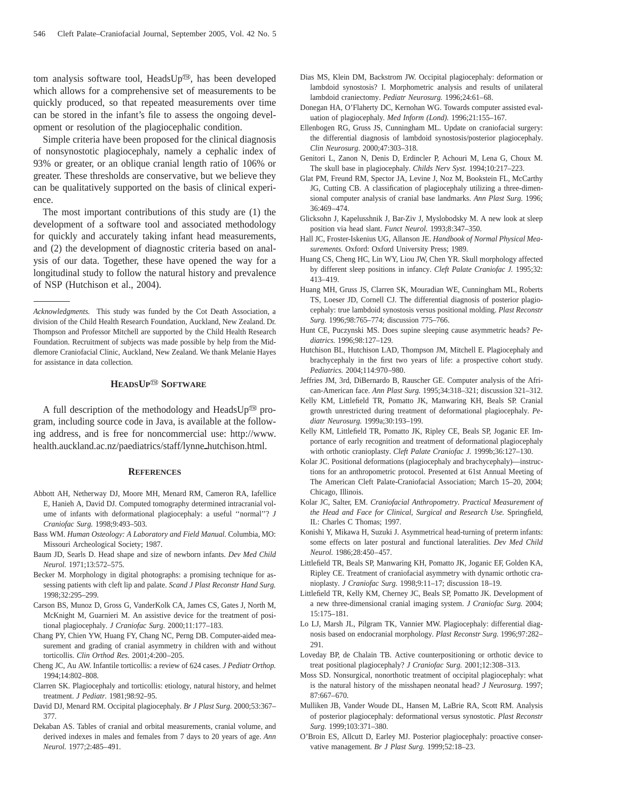tom analysis software tool, HeadsUp®, has been developed which allows for a comprehensive set of measurements to be quickly produced, so that repeated measurements over time can be stored in the infant's file to assess the ongoing development or resolution of the plagiocephalic condition.

Simple criteria have been proposed for the clinical diagnosis of nonsynostotic plagiocephaly, namely a cephalic index of 93% or greater, or an oblique cranial length ratio of 106% or greater. These thresholds are conservative, but we believe they can be qualitatively supported on the basis of clinical experience.

The most important contributions of this study are (1) the development of a software tool and associated methodology for quickly and accurately taking infant head measurements, and (2) the development of diagnostic criteria based on analysis of our data. Together, these have opened the way for a longitudinal study to follow the natural history and prevalence of NSP (Hutchison et al., 2004).

## $HEADSUP^{\textcircled{\tiny{\textcircled{\tiny \textcirc}}}}$  **SOFTWARE**

A full description of the methodology and HeadsUp<sup>®</sup> program, including source code in Java, is available at the following address, and is free for noncommercial use: http://www. health.auckland.ac.nz/paediatrics/staff/lynne\_hutchison.html.

#### **REFERENCES**

- Abbott AH, Netherway DJ, Moore MH, Menard RM, Cameron RA, Iafellice E, Hanieh A, David DJ. Computed tomography determined intracranial volume of infants with deformational plagiocephaly: a useful "normal"? *J Craniofac Surg.* 1998;9:493–503.
- Bass WM. *Human Osteology: A Laboratory and Field Manual.* Columbia, MO: Missouri Archeological Society; 1987.
- Baum JD, Searls D. Head shape and size of newborn infants. *Dev Med Child Neurol.* 1971;13:572–575.
- Becker M. Morphology in digital photographs: a promising technique for assessing patients with cleft lip and palate. *Scand J Plast Reconstr Hand Surg.* 1998;32:295–299.
- Carson BS, Munoz D, Gross G, VanderKolk CA, James CS, Gates J, North M, McKnight M, Guarnieri M. An assistive device for the treatment of positional plagiocephaly. *J Craniofac Surg.* 2000;11:177–183.
- Chang PY, Chien YW, Huang FY, Chang NC, Perng DB. Computer-aided measurement and grading of cranial asymmetry in children with and without torticollis. *Clin Orthod Res.* 2001;4:200–205.
- Cheng JC, Au AW. Infantile torticollis: a review of 624 cases. *J Pediatr Orthop.* 1994;14:802–808.
- Clarren SK. Plagiocephaly and torticollis: etiology, natural history, and helmet treatment. *J Pediatr.* 1981;98:92–95.
- David DJ, Menard RM. Occipital plagiocephaly. *Br J Plast Surg.* 2000;53:367– 377.
- Dekaban AS. Tables of cranial and orbital measurements, cranial volume, and derived indexes in males and females from 7 days to 20 years of age. *Ann Neurol.* 1977;2:485–491.
- Dias MS, Klein DM, Backstrom JW. Occipital plagiocephaly: deformation or lambdoid synostosis? I. Morphometric analysis and results of unilateral lambdoid craniectomy. *Pediatr Neurosurg.* 1996;24:61–68.
- Donegan HA, O'Flaherty DC, Kernohan WG. Towards computer assisted evaluation of plagiocephaly. *Med Inform (Lond).* 1996;21:155–167.
- Ellenbogen RG, Gruss JS, Cunningham ML. Update on craniofacial surgery: the differential diagnosis of lambdoid synostosis/posterior plagiocephaly. *Clin Neurosurg.* 2000;47:303–318.
- Genitori L, Zanon N, Denis D, Erdincler P, Achouri M, Lena G, Choux M. The skull base in plagiocephaly. *Childs Nerv Syst.* 1994;10:217–223.
- Glat PM, Freund RM, Spector JA, Levine J, Noz M, Bookstein FL, McCarthy JG, Cutting CB. A classification of plagiocephaly utilizing a three-dimensional computer analysis of cranial base landmarks. *Ann Plast Surg.* 1996; 36:469–474.
- Glicksohn J, Kapelusshnik J, Bar-Ziv J, Myslobodsky M. A new look at sleep position via head slant. *Funct Neurol.* 1993;8:347–350.
- Hall JC, Froster-Iskenius UG, Allanson JE. *Handbook of Normal Physical Measurements.* Oxford: Oxford University Press; 1989.
- Huang CS, Cheng HC, Lin WY, Liou JW, Chen YR. Skull morphology affected by different sleep positions in infancy. *Cleft Palate Craniofac J.* 1995;32: 413–419.
- Huang MH, Gruss JS, Clarren SK, Mouradian WE, Cunningham ML, Roberts TS, Loeser JD, Cornell CJ. The differential diagnosis of posterior plagiocephaly: true lambdoid synostosis versus positional molding. *Plast Reconstr Surg.* 1996;98:765–774; discussion 775–766.
- Hunt CE, Puczynski MS. Does supine sleeping cause asymmetric heads? *Pediatrics.* 1996;98:127–129.
- Hutchison BL, Hutchison LAD, Thompson JM, Mitchell E. Plagiocephaly and brachycephaly in the first two years of life: a prospective cohort study. *Pediatrics.* 2004;114:970–980.
- Jeffries JM, 3rd, DiBernardo B, Rauscher GE. Computer analysis of the African-American face. *Ann Plast Surg.* 1995;34:318–321; discussion 321–312.
- Kelly KM, Littlefield TR, Pomatto JK, Manwaring KH, Beals SP. Cranial growth unrestricted during treatment of deformational plagiocephaly. *Pediatr Neurosurg.* 1999a;30:193–199.
- Kelly KM, Littlefield TR, Pomatto JK, Ripley CE, Beals SP, Joganic EF. Importance of early recognition and treatment of deformational plagiocephaly with orthotic cranioplasty. *Cleft Palate Craniofac J.* 1999b;36:127–130.
- Kolar JC. Positional deformations (plagiocephaly and brachycephaly)—instructions for an anthropometric protocol. Presented at 61st Annual Meeting of The American Cleft Palate-Craniofacial Association; March 15–20, 2004; Chicago, Illinois.
- Kolar JC, Salter, EM. *Craniofacial Anthropometry. Practical Measurement of the Head and Face for Clinical, Surgical and Research Use.* Springfield, IL: Charles C Thomas; 1997.
- Konishi Y, Mikawa H, Suzuki J. Asymmetrical head-turning of preterm infants: some effects on later postural and functional lateralities. *Dev Med Child Neurol.* 1986;28:450–457.
- Littlefield TR, Beals SP, Manwaring KH, Pomatto JK, Joganic EF, Golden KA, Ripley CE. Treatment of craniofacial asymmetry with dynamic orthotic cranioplasty. *J Craniofac Surg.* 1998;9:11–17; discussion 18–19.
- Littlefield TR, Kelly KM, Cherney JC, Beals SP, Pomatto JK. Development of a new three-dimensional cranial imaging system. *J Craniofac Surg.* 2004; 15:175–181.
- Lo LJ, Marsh JL, Pilgram TK, Vannier MW. Plagiocephaly: differential diagnosis based on endocranial morphology. *Plast Reconstr Surg.* 1996;97:282– 291.
- Loveday BP, de Chalain TB. Active counterpositioning or orthotic device to treat positional plagiocephaly? *J Craniofac Surg.* 2001;12:308–313.
- Moss SD. Nonsurgical, nonorthotic treatment of occipital plagiocephaly: what is the natural history of the misshapen neonatal head? *J Neurosurg.* 1997; 87:667–670.
- Mulliken JB, Vander Woude DL, Hansen M, LaBrie RA, Scott RM. Analysis of posterior plagiocephaly: deformational versus synostotic. *Plast Reconstr Surg.* 1999;103:371–380.
- O'Broin ES, Allcutt D, Earley MJ. Posterior plagiocephaly: proactive conservative management. *Br J Plast Surg.* 1999;52:18–23.

*Acknowledgments.* This study was funded by the Cot Death Association, a division of the Child Health Research Foundation, Auckland, New Zealand. Dr. Thompson and Professor Mitchell are supported by the Child Health Research Foundation. Recruitment of subjects was made possible by help from the Middlemore Craniofacial Clinic, Auckland, New Zealand. We thank Melanie Hayes for assistance in data collection.